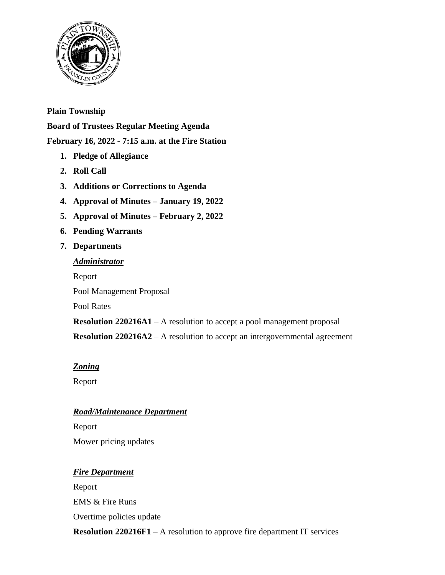

## **Plain Township**

**Board of Trustees Regular Meeting Agenda February 16, 2022 - 7:15 a.m. at the Fire Station**

- **1. Pledge of Allegiance**
- **2. Roll Call**
- **3. Additions or Corrections to Agenda**
- **4. Approval of Minutes – January 19, 2022**
- **5. Approval of Minutes – February 2, 2022**
- **6. Pending Warrants**
- **7. Departments**

### *Administrator*

Report

Pool Management Proposal

Pool Rates

**Resolution 220216A1** – A resolution to accept a pool management proposal **Resolution 220216A2** – A resolution to accept an intergovernmental agreement

## *Zoning*

Report

## *Road/Maintenance Department*

Report Mower pricing updates

## *Fire Department*

Report EMS & Fire Runs Overtime policies update

**Resolution 220216F1** – A resolution to approve fire department IT services